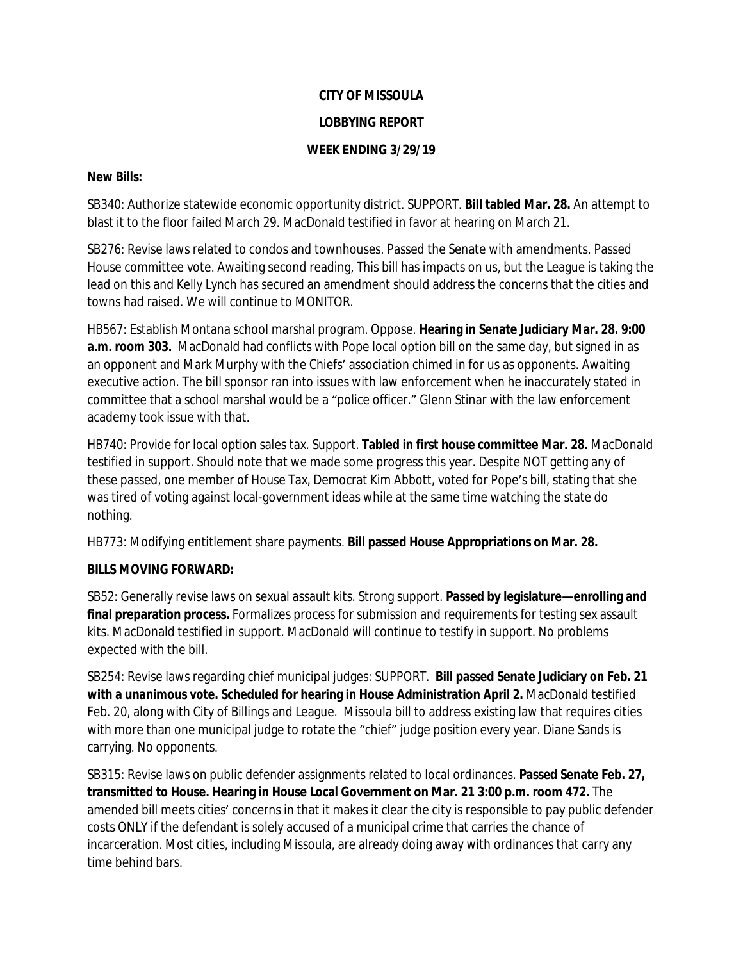# **CITY OF MISSOULA**

#### **LOBBYING REPORT**

### **WEEK ENDING 3/29/19**

#### **New Bills:**

SB340: Authorize statewide economic opportunity district. SUPPORT. **Bill tabled Mar. 28.** An attempt to blast it to the floor failed March 29. MacDonald testified in favor at hearing on March 21.

SB276: Revise laws related to condos and townhouses. Passed the Senate with amendments. Passed House committee vote. Awaiting second reading, This bill has impacts on us, but the League is taking the lead on this and Kelly Lynch has secured an amendment should address the concerns that the cities and towns had raised. We will continue to MONITOR.

HB567: Establish Montana school marshal program. Oppose. **Hearing in Senate Judiciary Mar. 28. 9:00**  a.m. room 303. MacDonald had conflicts with Pope local option bill on the same day, but signed in as an opponent and Mark Murphy with the Chiefs' association chimed in for us as opponents. Awaiting executive action. The bill sponsor ran into issues with law enforcement when he inaccurately stated in committee that a school marshal would be a "police officer." Glenn Stinar with the law enforcement academy took issue with that.

HB740: Provide for local option sales tax. Support. **Tabled in first house committee Mar. 28.** MacDonald testified in support. Should note that we made some progress this year. Despite NOT getting any of these passed, one member of House Tax, Democrat Kim Abbott, voted for Pope's bill, stating that she was tired of voting against local-government ideas while at the same time watching the state do nothing.

HB773: Modifying entitlement share payments. **Bill passed House Appropriations on Mar. 28.**

## **BILLS MOVING FORWARD:**

SB52: Generally revise laws on sexual assault kits. Strong support. **Passed by legislature—enrolling and final preparation process.** Formalizes process for submission and requirements for testing sex assault kits. MacDonald testified in support. MacDonald will continue to testify in support. No problems expected with the bill.

SB254: Revise laws regarding chief municipal judges: SUPPORT. **Bill passed Senate Judiciary on Feb. 21 with a unanimous vote. Scheduled for hearing in House Administration April 2.** MacDonald testified Feb. 20, along with City of Billings and League. Missoula bill to address existing law that requires cities with more than one municipal judge to rotate the "chief" judge position every year. Diane Sands is carrying. No opponents.

SB315: Revise laws on public defender assignments related to local ordinances. **Passed Senate Feb. 27, transmitted to House. Hearing in House Local Government on Mar. 21 3:00 p.m. room 472.** The amended bill meets cities' concerns in that it makes it clear the city is responsible to pay public defender costs ONLY if the defendant is solely accused of a municipal crime that carries the chance of incarceration. Most cities, including Missoula, are already doing away with ordinances that carry any time behind bars.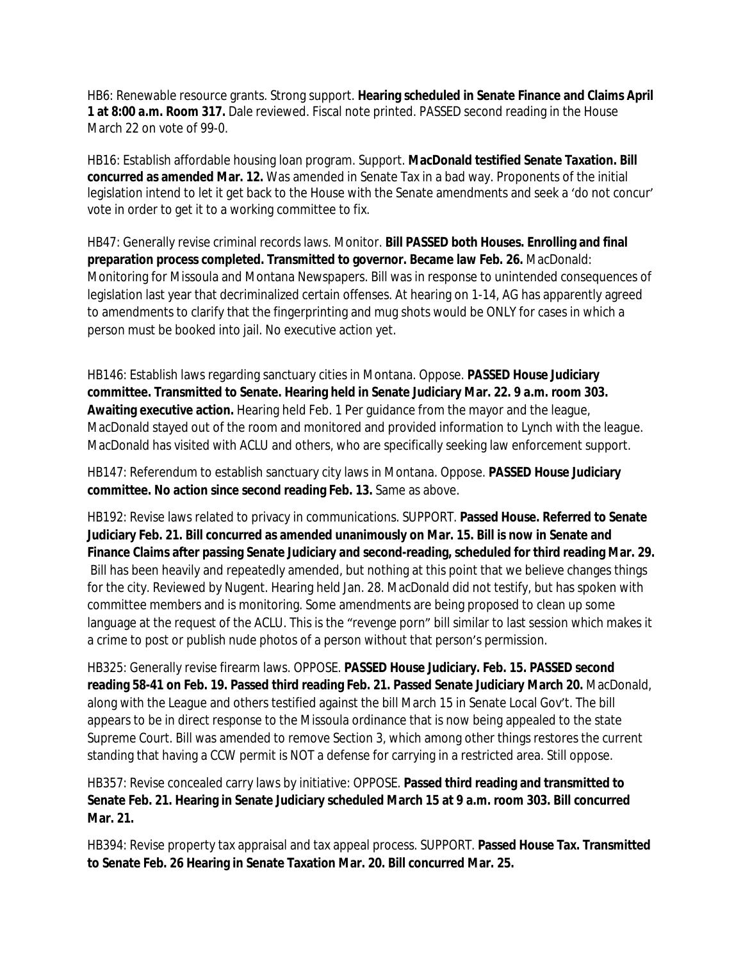HB6: Renewable resource grants. Strong support. **Hearing scheduled in Senate Finance and Claims April 1 at 8:00 a.m. Room 317.** Dale reviewed. Fiscal note printed. PASSED second reading in the House March 22 on vote of 99-0.

HB16: Establish affordable housing loan program. Support. **MacDonald testified Senate Taxation. Bill concurred as amended Mar. 12.** Was amended in Senate Tax in a bad way. Proponents of the initial legislation intend to let it get back to the House with the Senate amendments and seek a 'do not concur' vote in order to get it to a working committee to fix.

HB47: Generally revise criminal records laws. Monitor. **Bill PASSED both Houses. Enrolling and final preparation process completed. Transmitted to governor. Became law Feb. 26.** MacDonald: Monitoring for Missoula and Montana Newspapers. Bill was in response to unintended consequences of legislation last year that decriminalized certain offenses. At hearing on 1-14, AG has apparently agreed to amendments to clarify that the fingerprinting and mug shots would be ONLY for cases in which a person must be booked into jail. No executive action yet.

HB146: Establish laws regarding sanctuary cities in Montana. Oppose. **PASSED House Judiciary committee. Transmitted to Senate. Hearing held in Senate Judiciary Mar. 22. 9 a.m. room 303. Awaiting executive action.** Hearing held Feb. 1 Per guidance from the mayor and the league, MacDonald stayed out of the room and monitored and provided information to Lynch with the league. MacDonald has visited with ACLU and others, who are specifically seeking law enforcement support.

HB147: Referendum to establish sanctuary city laws in Montana. Oppose. **PASSED House Judiciary committee. No action since second reading Feb. 13.** Same as above.

HB192: Revise laws related to privacy in communications. SUPPORT. **Passed House. Referred to Senate Judiciary Feb. 21. Bill concurred as amended unanimously on Mar. 15. Bill is now in Senate and Finance Claims after passing Senate Judiciary and second-reading, scheduled for third reading Mar. 29.** Bill has been heavily and repeatedly amended, but nothing at this point that we believe changes things for the city. Reviewed by Nugent. Hearing held Jan. 28. MacDonald did not testify, but has spoken with committee members and is monitoring. Some amendments are being proposed to clean up some language at the request of the ACLU. This is the "revenge porn" bill similar to last session which makes it a crime to post or publish nude photos of a person without that person's permission.

HB325: Generally revise firearm laws. OPPOSE. **PASSED House Judiciary. Feb. 15. PASSED second reading 58-41 on Feb. 19. Passed third reading Feb. 21. Passed Senate Judiciary March 20.** MacDonald, along with the League and others testified against the bill March 15 in Senate Local Gov't. The bill appears to be in direct response to the Missoula ordinance that is now being appealed to the state Supreme Court. Bill was amended to remove Section 3, which among other things restores the current standing that having a CCW permit is NOT a defense for carrying in a restricted area. Still oppose.

HB357: Revise concealed carry laws by initiative: OPPOSE. **Passed third reading and transmitted to Senate Feb. 21. Hearing in Senate Judiciary scheduled March 15 at 9 a.m. room 303. Bill concurred Mar. 21.**

HB394: Revise property tax appraisal and tax appeal process. SUPPORT. **Passed House Tax. Transmitted to Senate Feb. 26 Hearing in Senate Taxation Mar. 20. Bill concurred Mar. 25.**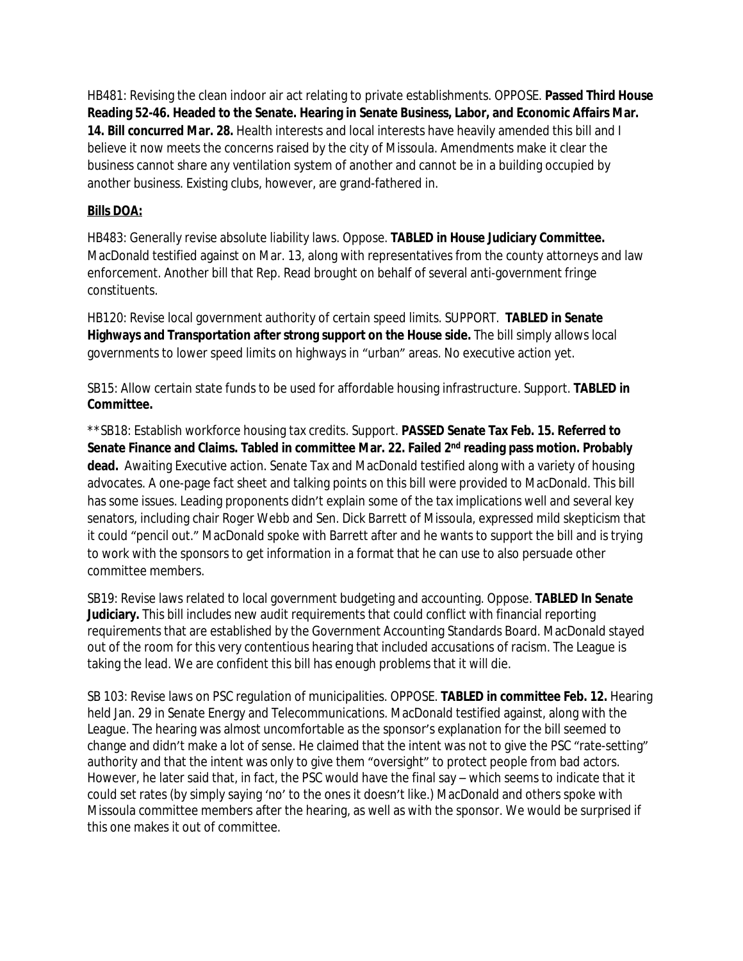HB481: Revising the clean indoor air act relating to private establishments. OPPOSE. **Passed Third House Reading 52-46. Headed to the Senate. Hearing in Senate Business, Labor, and Economic Affairs Mar. 14. Bill concurred Mar. 28.** Health interests and local interests have heavily amended this bill and I believe it now meets the concerns raised by the city of Missoula. Amendments make it clear the business cannot share any ventilation system of another and cannot be in a building occupied by another business. Existing clubs, however, are grand-fathered in.

#### **Bills DOA:**

HB483: Generally revise absolute liability laws. Oppose. **TABLED in House Judiciary Committee.**  MacDonald testified against on Mar. 13, along with representatives from the county attorneys and law enforcement. Another bill that Rep. Read brought on behalf of several anti-government fringe constituents.

HB120: Revise local government authority of certain speed limits. SUPPORT. **TABLED in Senate Highways and Transportation after strong support on the House side.** The bill simply allows local governments to lower speed limits on highways in "urban" areas. No executive action yet.

SB15: Allow certain state funds to be used for affordable housing infrastructure. Support. **TABLED in Committee.**

\*\*SB18: Establish workforce housing tax credits. Support. **PASSED Senate Tax Feb. 15. Referred to Senate Finance and Claims. Tabled in committee Mar. 22. Failed 2nd reading pass motion. Probably dead.** Awaiting Executive action. Senate Tax and MacDonald testified along with a variety of housing advocates. A one-page fact sheet and talking points on this bill were provided to MacDonald. This bill has some issues. Leading proponents didn't explain some of the tax implications well and several key senators, including chair Roger Webb and Sen. Dick Barrett of Missoula, expressed mild skepticism that it could "pencil out." MacDonald spoke with Barrett after and he wants to support the bill and is trying to work with the sponsors to get information in a format that he can use to also persuade other committee members.

SB19: Revise laws related to local government budgeting and accounting. Oppose. **TABLED In Senate Judiciary.** This bill includes new audit requirements that could conflict with financial reporting requirements that are established by the Government Accounting Standards Board. MacDonald stayed out of the room for this very contentious hearing that included accusations of racism. The League is taking the lead. We are confident this bill has enough problems that it will die.

SB 103: Revise laws on PSC regulation of municipalities. OPPOSE. **TABLED in committee Feb. 12.** Hearing held Jan. 29 in Senate Energy and Telecommunications. MacDonald testified against, along with the League. The hearing was almost uncomfortable as the sponsor's explanation for the bill seemed to change and didn't make a lot of sense. He claimed that the intent was not to give the PSC "rate-setting" authority and that the intent was only to give them "oversight" to protect people from bad actors. However, he later said that, in fact, the PSC would have the final say – which seems to indicate that it could set rates (by simply saying 'no' to the ones it doesn't like.) MacDonald and others spoke with Missoula committee members after the hearing, as well as with the sponsor. We would be surprised if this one makes it out of committee.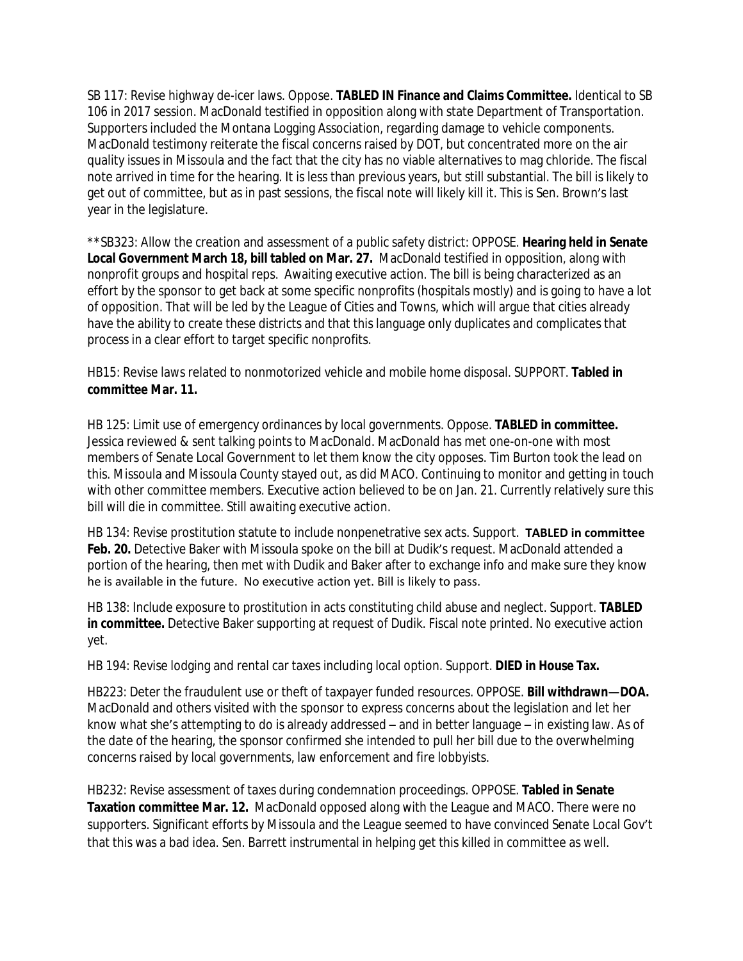SB 117: Revise highway de-icer laws. Oppose. **TABLED IN Finance and Claims Committee.** Identical to SB 106 in 2017 session. MacDonald testified in opposition along with state Department of Transportation. Supporters included the Montana Logging Association, regarding damage to vehicle components. MacDonald testimony reiterate the fiscal concerns raised by DOT, but concentrated more on the air quality issues in Missoula and the fact that the city has no viable alternatives to mag chloride. The fiscal note arrived in time for the hearing. It is less than previous years, but still substantial. The bill is likely to get out of committee, but as in past sessions, the fiscal note will likely kill it. This is Sen. Brown's last year in the legislature.

\*\*SB323: Allow the creation and assessment of a public safety district: OPPOSE. **Hearing held in Senate**  Local Government March 18, bill tabled on Mar. 27. MacDonald testified in opposition, along with nonprofit groups and hospital reps. Awaiting executive action. The bill is being characterized as an effort by the sponsor to get back at some specific nonprofits (hospitals mostly) and is going to have a lot of opposition. That will be led by the League of Cities and Towns, which will argue that cities already have the ability to create these districts and that this language only duplicates and complicates that process in a clear effort to target specific nonprofits.

HB15: Revise laws related to nonmotorized vehicle and mobile home disposal. SUPPORT. **Tabled in committee Mar. 11.**

HB 125: Limit use of emergency ordinances by local governments. Oppose. **TABLED in committee.** Jessica reviewed & sent talking points to MacDonald. MacDonald has met one-on-one with most members of Senate Local Government to let them know the city opposes. Tim Burton took the lead on this. Missoula and Missoula County stayed out, as did MACO. Continuing to monitor and getting in touch with other committee members. Executive action believed to be on Jan. 21. Currently relatively sure this bill will die in committee. Still awaiting executive action.

HB 134: Revise prostitution statute to include nonpenetrative sex acts. Support. **TABLED in committee**  Feb. 20. Detective Baker with Missoula spoke on the bill at Dudik's request. MacDonald attended a portion of the hearing, then met with Dudik and Baker after to exchange info and make sure they know he is available in the future. No executive action yet. Bill is likely to pass.

HB 138: Include exposure to prostitution in acts constituting child abuse and neglect. Support. **TABLED in committee.** Detective Baker supporting at request of Dudik. Fiscal note printed. No executive action yet.

HB 194: Revise lodging and rental car taxes including local option. Support. **DIED in House Tax.**

HB223: Deter the fraudulent use or theft of taxpayer funded resources. OPPOSE. **Bill withdrawn—DOA.**  MacDonald and others visited with the sponsor to express concerns about the legislation and let her know what she's attempting to do is already addressed – and in better language – in existing law. As of the date of the hearing, the sponsor confirmed she intended to pull her bill due to the overwhelming concerns raised by local governments, law enforcement and fire lobbyists.

HB232: Revise assessment of taxes during condemnation proceedings. OPPOSE. **Tabled in Senate Taxation committee Mar. 12.** MacDonald opposed along with the League and MACO. There were no supporters. Significant efforts by Missoula and the League seemed to have convinced Senate Local Gov't that this was a bad idea. Sen. Barrett instrumental in helping get this killed in committee as well.